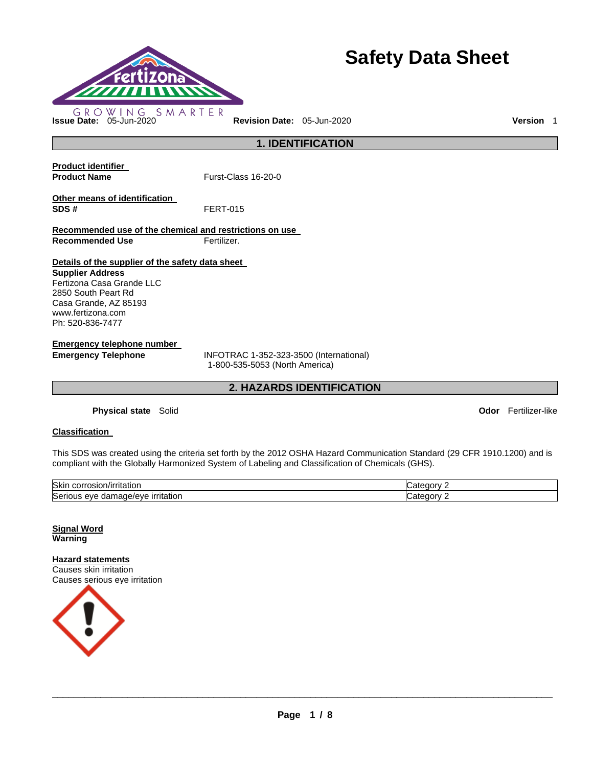

# **Safety Data Sheet**

**1. IDENTIFICATION** 

**Product identifier** 

**Product Name Furst-Class 16-20-0** 

**Other means of identification SDS #** FERT-015

**Recommended use of the chemical and restrictions on use Recommended Use Fertilizer.** 

**Details of the supplier of the safety data sheet** 

**Supplier Address** Fertizona Casa Grande LLC 2850 South Peart Rd Casa Grande, AZ 85193 www.fertizona.com Ph: 520-836-7477

**Emergency telephone number** 

**Emergency Telephone** INFOTRAC 1-352-323-3500 (International) 1-800-535-5053 (North America)

**2. HAZARDS IDENTIFICATION** 

**Physical state** Solid **Odor** Fertilizer-like

# **Classification**

This SDS was created using the criteria set forth by the 2012 OSHA Hazard Communication Standard (29 CFR 1910.1200) and is compliant with the Globally Harmonized System of Labeling and Classification of Chemicals (GHS).

| Skin<br>.JSIOP:<br>тітаног.<br>۱۱۰٬۰۰۰<br>711             | .aor        |
|-----------------------------------------------------------|-------------|
| Seri<br>nage/<br><i>irritation</i><br>e/eve<br>eve<br>dar | эт<br>וחוזי |

**Signal Word Warning** 

**Hazard statements** Causes skin irritation Causes serious eye irritation

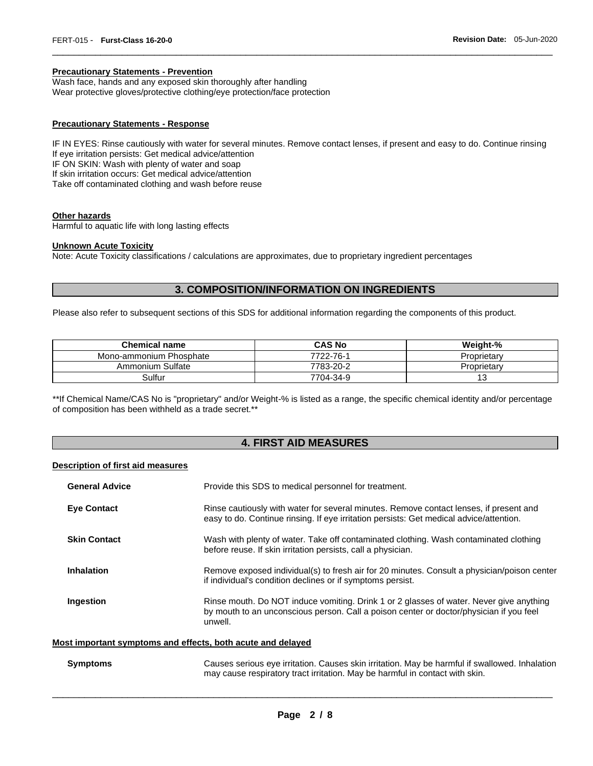### **Precautionary Statements - Prevention**

Wash face, hands and any exposed skin thoroughly after handling Wear protective gloves/protective clothing/eye protection/face protection

### **Precautionary Statements - Response**

IF IN EYES: Rinse cautiously with water for several minutes. Remove contact lenses, if present and easy to do. Continue rinsing If eye irritation persists: Get medical advice/attention IF ON SKIN: Wash with plenty of water and soap If skin irritation occurs: Get medical advice/attention Take off contaminated clothing and wash before reuse

\_\_\_\_\_\_\_\_\_\_\_\_\_\_\_\_\_\_\_\_\_\_\_\_\_\_\_\_\_\_\_\_\_\_\_\_\_\_\_\_\_\_\_\_\_\_\_\_\_\_\_\_\_\_\_\_\_\_\_\_\_\_\_\_\_\_\_\_\_\_\_\_\_\_\_\_\_\_\_\_\_\_\_\_\_\_\_\_\_\_\_\_\_

### **Other hazards**

Harmful to aquatic life with long lasting effects

### **Unknown Acute Toxicity**

Note: Acute Toxicity classifications / calculations are approximates, due to proprietary ingredient percentages

# **3. COMPOSITION/INFORMATION ON INGREDIENTS**

Please also refer to subsequent sections of this SDS for additional information regarding the components of this product.

| <b>Chemical name</b>    | <b>CAS No</b> | Weight-%    |
|-------------------------|---------------|-------------|
| Mono-ammonium Phosphate | 7722-76-1     | Proprietarv |
| Ammonium Sulfate        | 7783-20-2     | Proprietarv |
| Sulfur                  | 7704-34-9     | ں ا         |

\*\*If Chemical Name/CAS No is "proprietary" and/or Weight-% is listed as a range, the specific chemical identity and/or percentage of composition has been withheld as a trade secret.\*\*

# **4. FIRST AID MEASURES**

### **Description of first aid measures**

| <b>General Advice</b> | Provide this SDS to medical personnel for treatment.                                                                                                                                          |
|-----------------------|-----------------------------------------------------------------------------------------------------------------------------------------------------------------------------------------------|
| <b>Eye Contact</b>    | Rinse cautiously with water for several minutes. Remove contact lenses, if present and<br>easy to do. Continue rinsing. If eye irritation persists: Get medical advice/attention.             |
| <b>Skin Contact</b>   | Wash with plenty of water. Take off contaminated clothing. Wash contaminated clothing<br>before reuse. If skin irritation persists, call a physician.                                         |
| Inhalation            | Remove exposed individual(s) to fresh air for 20 minutes. Consult a physician/poison center<br>if individual's condition declines or if symptoms persist.                                     |
| Ingestion             | Rinse mouth. Do NOT induce vomiting. Drink 1 or 2 glasses of water. Never give anything<br>by mouth to an unconscious person. Call a poison center or doctor/physician if you feel<br>unwell. |

### **Most important symptoms and effects, both acute and delayed**

**Symptoms** Causes serious eye irritation. Causes skin irritation. May be harmful if swallowed. Inhalation may cause respiratory tract irritation. May be harmful in contact with skin.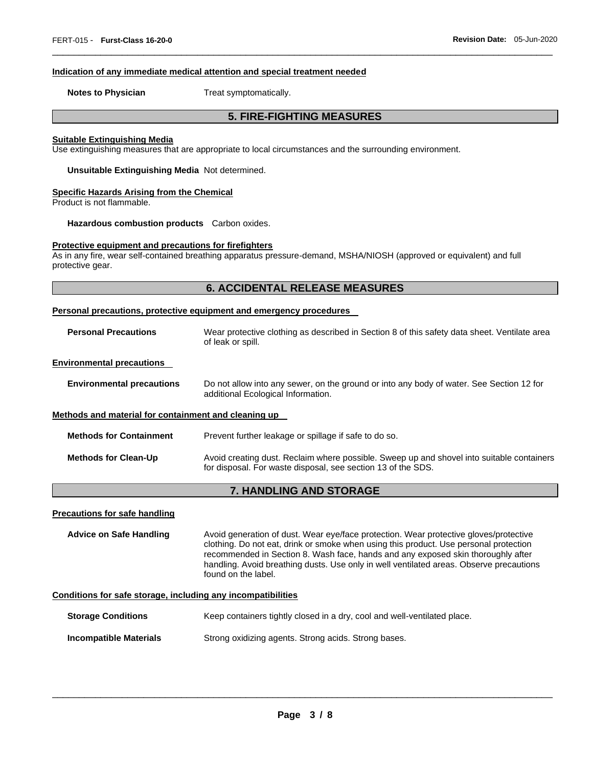### **Indication of any immediate medical attention and special treatment needed**

**Notes to Physician**  Treat symptomatically.

# **5. FIRE-FIGHTING MEASURES**

\_\_\_\_\_\_\_\_\_\_\_\_\_\_\_\_\_\_\_\_\_\_\_\_\_\_\_\_\_\_\_\_\_\_\_\_\_\_\_\_\_\_\_\_\_\_\_\_\_\_\_\_\_\_\_\_\_\_\_\_\_\_\_\_\_\_\_\_\_\_\_\_\_\_\_\_\_\_\_\_\_\_\_\_\_\_\_\_\_\_\_\_\_

#### **Suitable Extinguishing Media**

Use extinguishing measures that are appropriate to local circumstances and the surrounding environment.

**Unsuitable Extinguishing Media** Not determined.

### **Specific Hazards Arising from the Chemical**

Product is not flammable.

**Hazardous combustion products** Carbon oxides.

# **Protective equipment and precautions for firefighters**

As in any fire, wear self-contained breathing apparatus pressure-demand, MSHA/NIOSH (approved or equivalent) and full protective gear.

# **6. ACCIDENTAL RELEASE MEASURES**

#### **Personal precautions, protective equipment and emergency procedures**

**Personal Precautions** Wear protective clothing as described in Section 8 of this safety data sheet. Ventilate area of leak or spill.

### **Environmental precautions**

**Environmental precautions** Do not allow into any sewer, on the ground or into any body of water. See Section 12 for additional Ecological Information.

### **Methods and material for containment and cleaning up**

**Methods for Containment** Prevent further leakage or spillage if safe to do so.

**Methods for Clean-Up** Avoid creating dust. Reclaim where possible. Sweep up and shovel into suitable containers for disposal. For waste disposal, see section 13 of the SDS.

# **7. HANDLING AND STORAGE**

### **Precautions for safe handling**

**Advice on Safe Handling** Avoid generation of dust. Wear eye/face protection. Wear protective gloves/protective clothing. Do not eat, drink or smoke when using this product. Use personal protection recommended in Section 8. Wash face, hands and any exposed skin thoroughly after handling. Avoid breathing dusts. Use only in well ventilated areas. Observe precautions found on the label.

# **Conditions for safe storage, including any incompatibilities**

| <b>Storage Conditions</b>     | Keep containers tightly closed in a dry, cool and well-ventilated place. |
|-------------------------------|--------------------------------------------------------------------------|
| <b>Incompatible Materials</b> | Strong oxidizing agents. Strong acids. Strong bases.                     |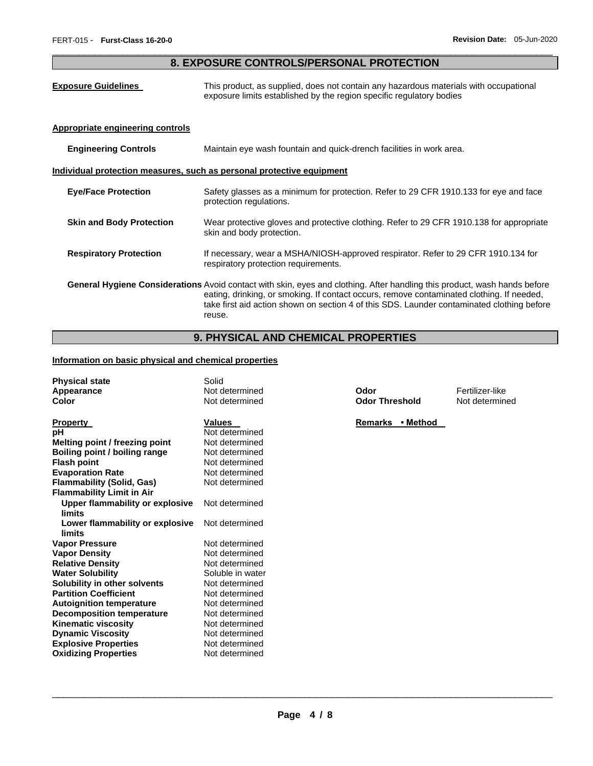# \_\_\_\_\_\_\_\_\_\_\_\_\_\_\_\_\_\_\_\_\_\_\_\_\_\_\_\_\_\_\_\_\_\_\_\_\_\_\_\_\_\_\_\_\_\_\_\_\_\_\_\_\_\_\_\_\_\_\_\_\_\_\_\_\_\_\_\_\_\_\_\_\_\_\_\_\_\_\_\_\_\_\_\_\_\_\_\_\_\_\_\_\_ **8. EXPOSURE CONTROLS/PERSONAL PROTECTION**

| <b>Exposure Guidelines</b>       | This product, as supplied, does not contain any hazardous materials with occupational<br>exposure limits established by the region specific regulatory bodies                                                                                                                                                                         |
|----------------------------------|---------------------------------------------------------------------------------------------------------------------------------------------------------------------------------------------------------------------------------------------------------------------------------------------------------------------------------------|
| Appropriate engineering controls |                                                                                                                                                                                                                                                                                                                                       |
| <b>Engineering Controls</b>      | Maintain eye wash fountain and quick-drench facilities in work area.                                                                                                                                                                                                                                                                  |
|                                  | Individual protection measures, such as personal protective equipment                                                                                                                                                                                                                                                                 |
| <b>Eye/Face Protection</b>       | Safety glasses as a minimum for protection. Refer to 29 CFR 1910.133 for eye and face<br>protection regulations.                                                                                                                                                                                                                      |
| <b>Skin and Body Protection</b>  | Wear protective gloves and protective clothing. Refer to 29 CFR 1910.138 for appropriate<br>skin and body protection.                                                                                                                                                                                                                 |
| <b>Respiratory Protection</b>    | If necessary, wear a MSHA/NIOSH-approved respirator. Refer to 29 CFR 1910.134 for<br>respiratory protection requirements.                                                                                                                                                                                                             |
|                                  | <b>General Hygiene Considerations</b> Avoid contact with skin, eyes and clothing. After handling this product, wash hands before<br>eating, drinking, or smoking. If contact occurs, remove contaminated clothing. If needed,<br>take first aid action shown on section 4 of this SDS. Launder contaminated clothing before<br>reuse. |

# **9. PHYSICAL AND CHEMICAL PROPERTIES**

# **Information on basic physical and chemical properties**

| <b>Physical state</b>            | Solid            |                       |                 |
|----------------------------------|------------------|-----------------------|-----------------|
| Appearance                       | Not determined   | Odor                  | Fertilizer-like |
| <b>Color</b>                     | Not determined   | <b>Odor Threshold</b> | Not determine   |
| <b>Property</b>                  | <b>Values</b>    | Remarks • Method      |                 |
| рH                               | Not determined   |                       |                 |
| Melting point / freezing point   | Not determined   |                       |                 |
| Boiling point / boiling range    | Not determined   |                       |                 |
| <b>Flash point</b>               | Not determined   |                       |                 |
| <b>Evaporation Rate</b>          | Not determined   |                       |                 |
| <b>Flammability (Solid, Gas)</b> | Not determined   |                       |                 |
| <b>Flammability Limit in Air</b> |                  |                       |                 |
| Upper flammability or explosive  | Not determined   |                       |                 |
| limits                           |                  |                       |                 |
| Lower flammability or explosive  | Not determined   |                       |                 |
| limits                           |                  |                       |                 |
| <b>Vapor Pressure</b>            | Not determined   |                       |                 |
| <b>Vapor Density</b>             | Not determined   |                       |                 |
| <b>Relative Density</b>          | Not determined   |                       |                 |
| <b>Water Solubility</b>          | Soluble in water |                       |                 |
| Solubility in other solvents     | Not determined   |                       |                 |
| <b>Partition Coefficient</b>     | Not determined   |                       |                 |
| <b>Autoignition temperature</b>  | Not determined   |                       |                 |
| <b>Decomposition temperature</b> | Not determined   |                       |                 |
| <b>Kinematic viscosity</b>       | Not determined   |                       |                 |
| <b>Dynamic Viscosity</b>         | Not determined   |                       |                 |
| <b>Explosive Properties</b>      | Not determined   |                       |                 |
| <b>Oxidizing Properties</b>      | Not determined   |                       |                 |

**Odor Threshold Not determined**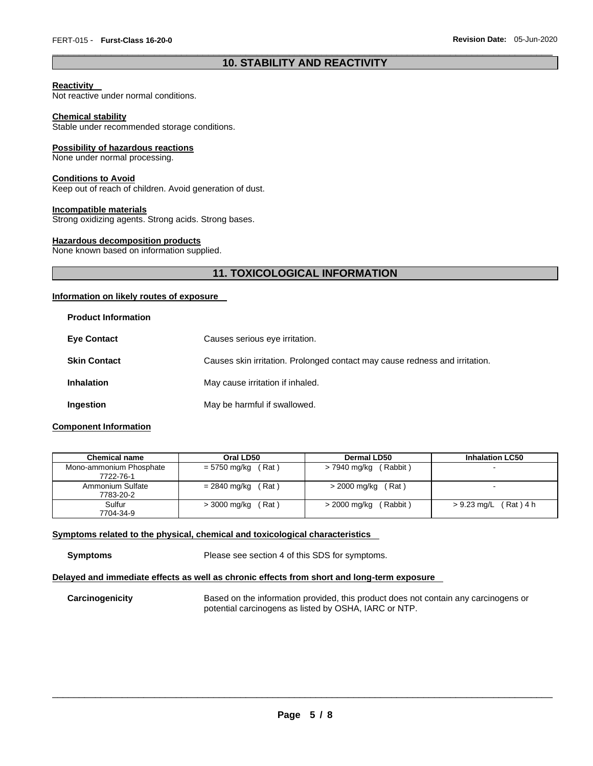# \_\_\_\_\_\_\_\_\_\_\_\_\_\_\_\_\_\_\_\_\_\_\_\_\_\_\_\_\_\_\_\_\_\_\_\_\_\_\_\_\_\_\_\_\_\_\_\_\_\_\_\_\_\_\_\_\_\_\_\_\_\_\_\_\_\_\_\_\_\_\_\_\_\_\_\_\_\_\_\_\_\_\_\_\_\_\_\_\_\_\_\_\_ **10. STABILITY AND REACTIVITY**

### **Reactivity**

Not reactive under normal conditions.

### **Chemical stability**

Stable under recommended storage conditions.

### **Possibility of hazardous reactions**

None under normal processing.

### **Conditions to Avoid**

Keep out of reach of children. Avoid generation of dust.

### **Incompatible materials**

Strong oxidizing agents. Strong acids. Strong bases.

### **Hazardous decomposition products**

None known based on information supplied.

# **11. TOXICOLOGICAL INFORMATION**

### **Information on likely routes of exposure**

| <b>Product Information</b> |                                                                             |
|----------------------------|-----------------------------------------------------------------------------|
| <b>Eye Contact</b>         | Causes serious eye irritation.                                              |
| <b>Skin Contact</b>        | Causes skin irritation. Prolonged contact may cause redness and irritation. |
| <b>Inhalation</b>          | May cause irritation if inhaled.                                            |
| Ingestion                  | May be harmful if swallowed.                                                |

# **Component Information**

| <b>Chemical name</b>          | Oral LD50             | Dermal LD50          | <b>Inhalation LC50</b> |
|-------------------------------|-----------------------|----------------------|------------------------|
| Mono-ammonium Phosphate       | = 5750 mg/kg          | (Rabbit)             | -                      |
| 7722-76-1                     | (Rat)                 | > 7940 mg/kg         |                        |
| Ammonium Sulfate<br>7783-20-2 | = 2840 mg/kg<br>(Rat) | $>$ 2000 mg/kg (Rat) |                        |
| Sulfur                        | Rat)                  | (Rabbit)             | $(Rat)$ 4 h            |
| 7704-34-9                     | > 3000 mg/kg          | > 2000 mg/kg         | > 9.23 mg/L            |

### **Symptoms related to the physical, chemical and toxicological characteristics**

**Symptoms** Please see section 4 of this SDS for symptoms.

### **Delayed and immediate effects as well as chronic effects from short and long-term exposure**

**Carcinogenicity** Based on the information provided, this product does not contain any carcinogens or potential carcinogens as listed by OSHA, IARC or NTP.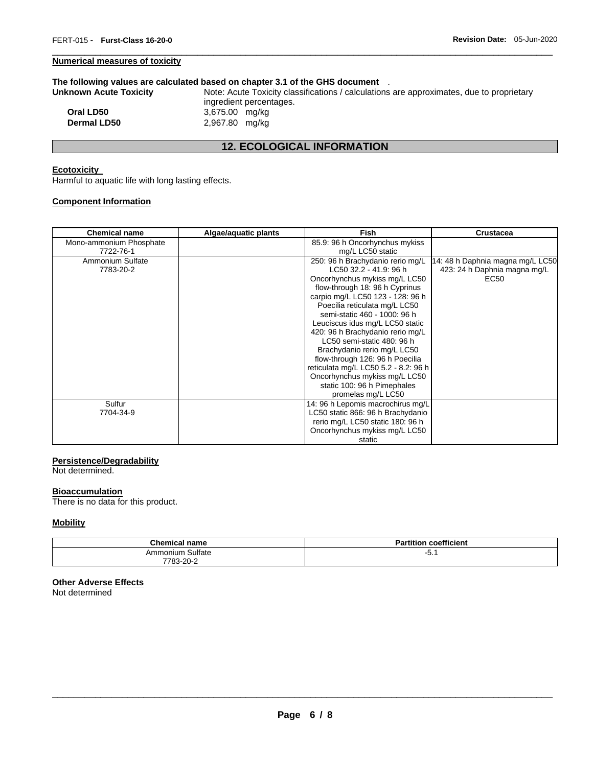# **Numerical measures of toxicity**

### **The following values are calculated based on chapter 3.1 of the GHS document** .

| Unknown Acute Toxicity | Note: Acute Toxicity classifications / calculations are approximates, due to proprietary |
|------------------------|------------------------------------------------------------------------------------------|
|                        | ingredient percentages.                                                                  |
| Oral LD50              | 3,675.00 mg/kg                                                                           |
| <b>Dermal LD50</b>     | 2,967.80 mg/kg                                                                           |
|                        |                                                                                          |

\_\_\_\_\_\_\_\_\_\_\_\_\_\_\_\_\_\_\_\_\_\_\_\_\_\_\_\_\_\_\_\_\_\_\_\_\_\_\_\_\_\_\_\_\_\_\_\_\_\_\_\_\_\_\_\_\_\_\_\_\_\_\_\_\_\_\_\_\_\_\_\_\_\_\_\_\_\_\_\_\_\_\_\_\_\_\_\_\_\_\_\_\_

# **12. ECOLOGICAL INFORMATION**

# **Ecotoxicity**

Harmful to aquatic life with long lasting effects.

# **Component Information**

| <b>Chemical name</b>    | Algae/aquatic plants | <b>Fish</b>                          | <b>Crustacea</b>                 |
|-------------------------|----------------------|--------------------------------------|----------------------------------|
| Mono-ammonium Phosphate |                      | 85.9: 96 h Oncorhynchus mykiss       |                                  |
| 7722-76-1               |                      | mg/L LC50 static                     |                                  |
| Ammonium Sulfate        |                      | 250: 96 h Brachydanio rerio mg/L     | 14: 48 h Daphnia magna mg/L LC50 |
| 7783-20-2               |                      | LC50 32.2 - 41.9: 96 h               | 423: 24 h Daphnia magna mg/L     |
|                         |                      | Oncorhynchus mykiss mg/L LC50        | EC50                             |
|                         |                      | flow-through 18: 96 h Cyprinus       |                                  |
|                         |                      | carpio mg/L LC50 123 - 128: 96 h     |                                  |
|                         |                      | Poecilia reticulata mg/L LC50        |                                  |
|                         |                      | semi-static 460 - 1000: 96 h         |                                  |
|                         |                      | Leuciscus idus mg/L LC50 static      |                                  |
|                         |                      | 420: 96 h Brachydanio rerio mg/L     |                                  |
|                         |                      | LC50 semi-static 480: 96 h           |                                  |
|                         |                      | Brachydanio rerio mg/L LC50          |                                  |
|                         |                      | flow-through 126: 96 h Poecilia      |                                  |
|                         |                      | reticulata mg/L LC50 5.2 - 8.2: 96 h |                                  |
|                         |                      | Oncorhynchus mykiss mg/L LC50        |                                  |
|                         |                      | static 100: 96 h Pimephales          |                                  |
|                         |                      | promelas mg/L LC50                   |                                  |
| Sulfur                  |                      | 14: 96 h Lepomis macrochirus mg/L    |                                  |
| 7704-34-9               |                      | LC50 static 866: 96 h Brachydanio    |                                  |
|                         |                      | rerio mg/L LC50 static 180: 96 h     |                                  |
|                         |                      | Oncorhynchus mykiss mg/L LC50        |                                  |
|                         |                      | static                               |                                  |

# **Persistence/Degradability**

Not determined.

### **Bioaccumulation**

There is no data for this product.

# **Mobility**

| <b>Chemical name</b> | coefficient<br>Partition |
|----------------------|--------------------------|
| Ammonium Sulfate     |                          |
| 7783-20-2            |                          |

# **Other Adverse Effects**

Not determined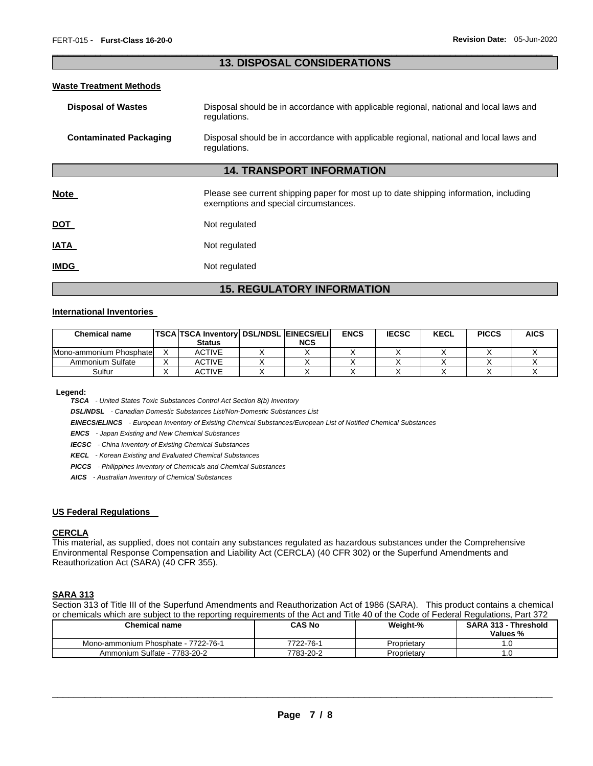# \_\_\_\_\_\_\_\_\_\_\_\_\_\_\_\_\_\_\_\_\_\_\_\_\_\_\_\_\_\_\_\_\_\_\_\_\_\_\_\_\_\_\_\_\_\_\_\_\_\_\_\_\_\_\_\_\_\_\_\_\_\_\_\_\_\_\_\_\_\_\_\_\_\_\_\_\_\_\_\_\_\_\_\_\_\_\_\_\_\_\_\_\_ **13. DISPOSAL CONSIDERATIONS**

### **Waste Treatment Methods**

| <b>Disposal of Wastes</b>     | Disposal should be in accordance with applicable regional, national and local laws and<br>regulations.                         |
|-------------------------------|--------------------------------------------------------------------------------------------------------------------------------|
| <b>Contaminated Packaging</b> | Disposal should be in accordance with applicable regional, national and local laws and<br>regulations.                         |
|                               | <b>14. TRANSPORT INFORMATION</b>                                                                                               |
| <b>Note</b>                   | Please see current shipping paper for most up to date shipping information, including<br>exemptions and special circumstances. |
| <b>DOT</b>                    | Not regulated                                                                                                                  |
| IATA                          | Not regulated                                                                                                                  |
| <b>IMDG</b>                   | Not regulated                                                                                                                  |

# **15. REGULATORY INFORMATION**

### **International Inventories**

| Chemical name            | <b>TSCA TSCA Inventory DSL/NDSL EINECS/ELI</b> |            | <b>ENCS</b> | <b>IECSC</b> | <b>KECL</b> | <b>PICCS</b> | <b>AICS</b> |
|--------------------------|------------------------------------------------|------------|-------------|--------------|-------------|--------------|-------------|
|                          | <b>Status</b>                                  | <b>NCS</b> |             |              |             |              |             |
| Mono-ammonium Phosphatel | ACTIVE                                         |            |             |              |             |              |             |
| Ammonium Sulfate         | ACTIVE                                         |            |             |              |             |              |             |
| Sulfur                   | ACTIVE                                         |            |             |              |             |              |             |

**Legend:** 

*TSCA - United States Toxic Substances Control Act Section 8(b) Inventory* 

*DSL/NDSL - Canadian Domestic Substances List/Non-Domestic Substances List* 

*EINECS/ELINCS - European Inventory of Existing Chemical Substances/European List of Notified Chemical Substances* 

*ENCS - Japan Existing and New Chemical Substances* 

*IECSC - China Inventory of Existing Chemical Substances* 

*KECL - Korean Existing and Evaluated Chemical Substances* 

*PICCS - Philippines Inventory of Chemicals and Chemical Substances* 

*AICS - Australian Inventory of Chemical Substances* 

### **US Federal Regulations**

### **CERCLA**

This material, as supplied, does not contain any substances regulated as hazardous substances under the Comprehensive Environmental Response Compensation and Liability Act (CERCLA) (40 CFR 302) or the Superfund Amendments and Reauthorization Act (SARA) (40 CFR 355).

### **SARA 313**

Section 313 of Title III of the Superfund Amendments and Reauthorization Act of 1986 (SARA). This product contains a chemical or chemicals which are subject to the reporting requirements of the Act and Title 40 of the Code of Federal Regulations, Part 372

| Chemical name                       | CAS No    | Weight-%    | <b>SARA 313 - Threshold</b><br>Values % |
|-------------------------------------|-----------|-------------|-----------------------------------------|
| Mono-ammonium Phosphate - 7722-76-1 | 7722-76-1 | Proprietary |                                         |
| Ammonium Sulfate - 7783-20-2        | 7783-20-2 | Proprietary |                                         |